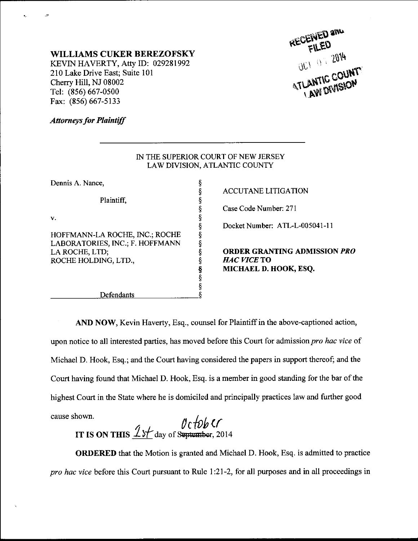

## WILLIAMS CUKER BEREZOFSKY

KEVIN HAVERTY, Atty ID: 029281992 210 Lake Drive East; Suite 101 Cherry Hill, NJ 08002 Tel: (856) 667-0s00 Fax: (856) 667-5133

## **Attorneys for Plaintiff**

| IN THE SUPERIOR COURT OF NEW JERSEY |
|-------------------------------------|
| LAW DIVISION, ATLANTIC COUNTY       |

| Dennis A Nance,                 | ş      |
|---------------------------------|--------|
|                                 | ş      |
| Plaintiff,                      | ş      |
|                                 | ş      |
| v.                              | ş      |
|                                 | ş      |
| HOFFMANN-LA ROCHE, INC.; ROCHE  | ş      |
| LABORATORIES, INC.; F. HOFFMANN | ş      |
| LA ROCHE, LTD;                  |        |
| ROCHE HOLDING, LTD.,            | §<br>§ |
|                                 |        |
|                                 | S<br>S |
|                                 | ş      |
| Defendants                      |        |

ACCUTANE LITIGATION

Case Code Number: 271

Docket Number: ATL-L-005041-11

ORDER GRANTING ADMISSION PRO HAC VICE TO MICHAEL D. HOOK, ESQ.

AND NOW, Kevin Haverty, Esq., counsel for Plaintiff in the above-captioned action, upon notice to all interested parties, has moved before this Court for admission *pro hac vice* of Michael D. Hook, Esq.; and the Court having considered the papers in support thereof; and the Court having found that Michael D. Hook, Esq. is a member in good standing for the bar of the highest Court in the State where he is domiciled and principally practices law and further good

cause shown.<br>
FILE ON THIS  $\frac{1}{\sqrt{1-\frac{1}{2}}}\int_{-\infty}^{\infty} \frac{1}{\sqrt{1-\frac{1}{2}}}\frac{1}{\sqrt{1-\frac{1}{2}}}\frac{1}{\sqrt{1-\frac{1}{2}}}\frac{1}{\sqrt{1-\frac{1}{2}}}\frac{1}{\sqrt{1-\frac{1}{2}}}\frac{1}{\sqrt{1-\frac{1}{2}}}\frac{1}{\sqrt{1-\frac{1}{2}}}\frac{1}{\sqrt{1-\frac{1}{2}}}\frac{1}{\sqrt{1-\frac{1}{2}}}\frac{1}{\sqrt{1-\frac{1}{2}}}\frac{1}{$ IT IS ON THIS  $\frac{1}{10}$  day of September, 2014

ORDERED that the Motion is granted and Michael D. Hook, Esq. is admitted to practice pro hac vice before this Court pursuant to Rule 1:27-2, for all purposes and in all proceedings in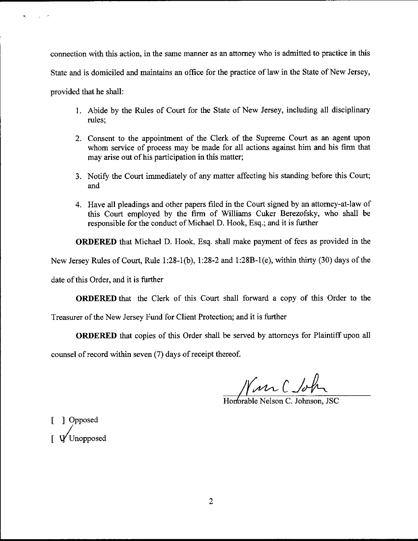connection with this action, in the same manner as an attorney who is admitted to practice in this State and is domiciled and maintains an office for the practice of law in the State of New Jersey, provided that he shall:

- 1. Abide by the Rules of Court for the State of New Jersey, including all disciplinary rules;
- 2. Consent to the appointment of the Clerk of the Supreme Court as an agent upon whom service of process may be made for all actions against him and his firm that may arise out of his participation in this matter;
- 3. Notify the Court immediately of any matter affecting his standing before this Court; and
- 4. Have all pleadings and other papers filed in the Court signed by an attorney-at-law of this Court employed by the firm of Williams Cuker Berezofsky, who shall be responsible for the conduct of Michael D. Hook, Esq.; and it is further

ORDERED that Michael D. Hook, Esq. shall make payment of fees as provided in the

New Jersey Rules of Court, Rule 1:28-1(b), 1:28-2 and 1:28B-1(e), within thirty (30) days of the

date of this Order, and it is further

ORDERED that the Clerk of this Court shall forward a copy of this Order to the

Treasurer of the New Jersey Fund for Client Protection; and it is further

ORDERED that copies of this Order shall be served by attomeys for Plaintiff upon all

counsel of record within seven (7) days of receipt thereof.

Win C John

Horforable Nelson C. Johnson. JSC

[ ] Opposed  $\int \Psi$ Unopposed